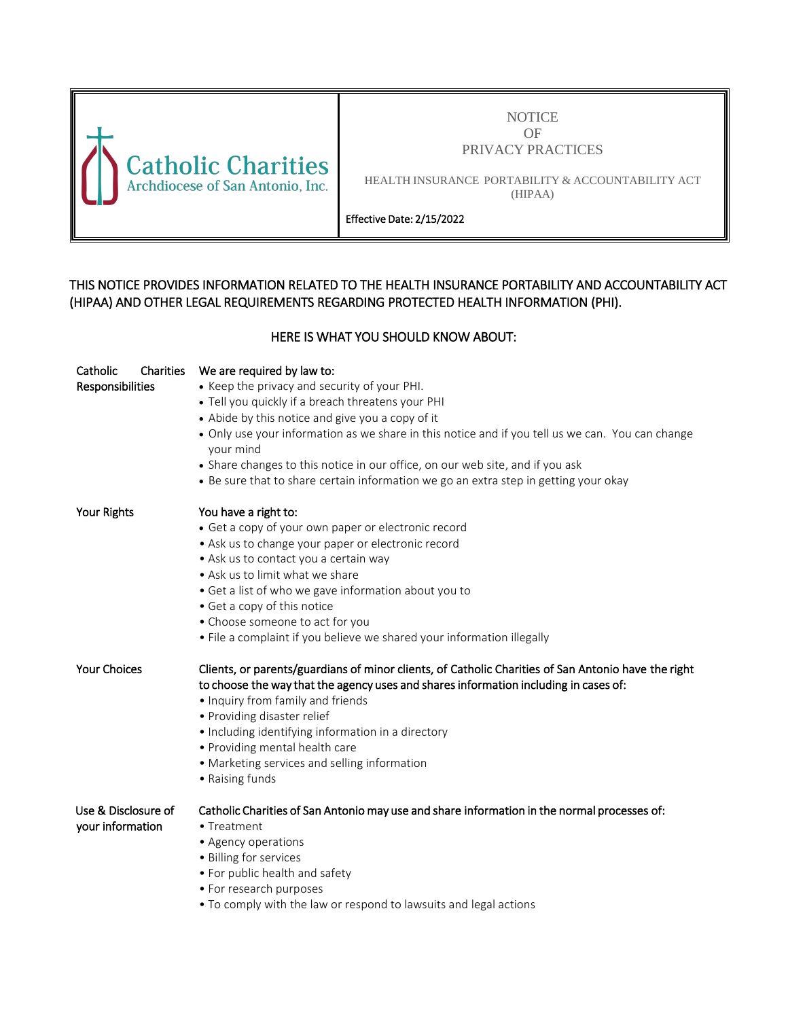

**NOTICE** OF PRIVACY PRACTICES

HEALTH INSURANCE PORTABILITY & ACCOUNTABILITY ACT (HIPAA)

Effective Date: 2/15/2022

# THIS NOTICE PROVIDES INFORMATION RELATED TO THE HEALTH INSURANCE PORTABILITY AND ACCOUNTABILITY ACT (HIPAA) AND OTHER LEGAL REQUIREMENTS REGARDING PROTECTED HEALTH INFORMATION (PHI).

## HERE IS WHAT YOU SHOULD KNOW ABOUT:

| Catholic<br><b>Charities</b> | We are required by law to:                                                                                                                                                                                                       |
|------------------------------|----------------------------------------------------------------------------------------------------------------------------------------------------------------------------------------------------------------------------------|
| Responsibilities             | • Keep the privacy and security of your PHI.                                                                                                                                                                                     |
|                              | • Tell you quickly if a breach threatens your PHI                                                                                                                                                                                |
|                              | • Abide by this notice and give you a copy of it                                                                                                                                                                                 |
|                              | • Only use your information as we share in this notice and if you tell us we can. You can change<br>your mind                                                                                                                    |
|                              | • Share changes to this notice in our office, on our web site, and if you ask                                                                                                                                                    |
|                              | • Be sure that to share certain information we go an extra step in getting your okay                                                                                                                                             |
| Your Rights                  | You have a right to:                                                                                                                                                                                                             |
|                              | • Get a copy of your own paper or electronic record                                                                                                                                                                              |
|                              | • Ask us to change your paper or electronic record                                                                                                                                                                               |
|                              | • Ask us to contact you a certain way                                                                                                                                                                                            |
|                              | • Ask us to limit what we share                                                                                                                                                                                                  |
|                              | · Get a list of who we gave information about you to                                                                                                                                                                             |
|                              | • Get a copy of this notice                                                                                                                                                                                                      |
|                              | • Choose someone to act for you                                                                                                                                                                                                  |
|                              | · File a complaint if you believe we shared your information illegally                                                                                                                                                           |
| <b>Your Choices</b>          | Clients, or parents/guardians of minor clients, of Catholic Charities of San Antonio have the right<br>to choose the way that the agency uses and shares information including in cases of:<br>• Inquiry from family and friends |
|                              | • Providing disaster relief                                                                                                                                                                                                      |
|                              | • Including identifying information in a directory                                                                                                                                                                               |
|                              | • Providing mental health care                                                                                                                                                                                                   |
|                              | • Marketing services and selling information<br>• Raising funds                                                                                                                                                                  |
| Use & Disclosure of          | Catholic Charities of San Antonio may use and share information in the normal processes of:                                                                                                                                      |
| your information             | • Treatment                                                                                                                                                                                                                      |
|                              | • Agency operations                                                                                                                                                                                                              |
|                              | • Billing for services                                                                                                                                                                                                           |
|                              | • For public health and safety                                                                                                                                                                                                   |
|                              | • For research purposes                                                                                                                                                                                                          |
|                              | . To comply with the law or respond to lawsuits and legal actions                                                                                                                                                                |
|                              |                                                                                                                                                                                                                                  |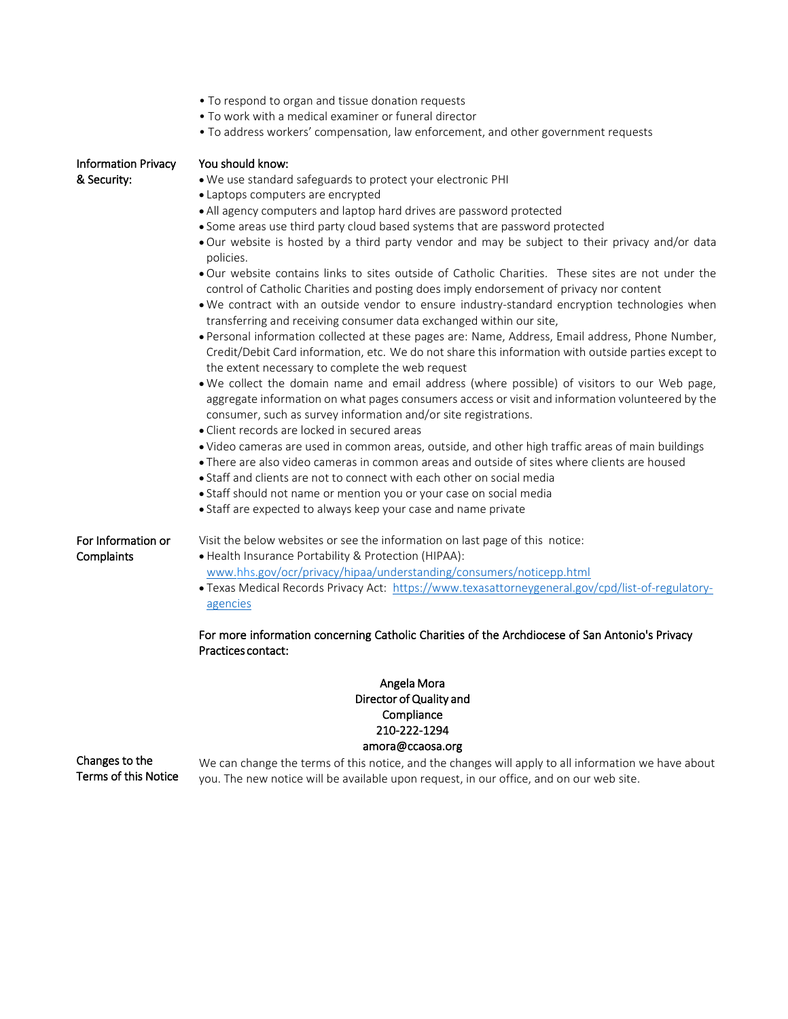|                                  | • To respond to organ and tissue donation requests                                                                                                                                                                                                                                                                  |
|----------------------------------|---------------------------------------------------------------------------------------------------------------------------------------------------------------------------------------------------------------------------------------------------------------------------------------------------------------------|
|                                  | . To work with a medical examiner or funeral director                                                                                                                                                                                                                                                               |
|                                  | . To address workers' compensation, law enforcement, and other government requests                                                                                                                                                                                                                                  |
| <b>Information Privacy</b>       | You should know:                                                                                                                                                                                                                                                                                                    |
| & Security:                      | . We use standard safeguards to protect your electronic PHI                                                                                                                                                                                                                                                         |
|                                  | • Laptops computers are encrypted                                                                                                                                                                                                                                                                                   |
|                                  | • All agency computers and laptop hard drives are password protected                                                                                                                                                                                                                                                |
|                                  | • Some areas use third party cloud based systems that are password protected                                                                                                                                                                                                                                        |
|                                  | • Our website is hosted by a third party vendor and may be subject to their privacy and/or data<br>policies.                                                                                                                                                                                                        |
|                                  | . Our website contains links to sites outside of Catholic Charities. These sites are not under the<br>control of Catholic Charities and posting does imply endorsement of privacy nor content                                                                                                                       |
|                                  | . We contract with an outside vendor to ensure industry-standard encryption technologies when<br>transferring and receiving consumer data exchanged within our site,                                                                                                                                                |
|                                  | · Personal information collected at these pages are: Name, Address, Email address, Phone Number,<br>Credit/Debit Card information, etc. We do not share this information with outside parties except to<br>the extent necessary to complete the web request                                                         |
|                                  | . We collect the domain name and email address (where possible) of visitors to our Web page,<br>aggregate information on what pages consumers access or visit and information volunteered by the<br>consumer, such as survey information and/or site registrations.<br>• Client records are locked in secured areas |
|                                  | • Video cameras are used in common areas, outside, and other high traffic areas of main buildings<br>• There are also video cameras in common areas and outside of sites where clients are housed                                                                                                                   |
|                                  | • Staff and clients are not to connect with each other on social media                                                                                                                                                                                                                                              |
|                                  | • Staff should not name or mention you or your case on social media                                                                                                                                                                                                                                                 |
|                                  | • Staff are expected to always keep your case and name private                                                                                                                                                                                                                                                      |
| For Information or<br>Complaints | Visit the below websites or see the information on last page of this notice:                                                                                                                                                                                                                                        |
|                                  | • Health Insurance Portability & Protection (HIPAA):                                                                                                                                                                                                                                                                |
|                                  | www.hhs.gov/ocr/privacy/hipaa/understanding/consumers/noticepp.html                                                                                                                                                                                                                                                 |
|                                  | . Texas Medical Records Privacy Act: https://www.texasattorneygeneral.gov/cpd/list-of-regulatory-<br>agencies                                                                                                                                                                                                       |
|                                  | For more information concerning Catholic Charities of the Archdiocese of San Antonio's Privacy<br>Practices contact:                                                                                                                                                                                                |
|                                  | Angela Mora                                                                                                                                                                                                                                                                                                         |
|                                  | Director of Quality and                                                                                                                                                                                                                                                                                             |
|                                  | Compliance                                                                                                                                                                                                                                                                                                          |
|                                  | 210-222-1294                                                                                                                                                                                                                                                                                                        |

## amora@ccaosa.org

Changes to the Terms of this Notice

We can change the terms of this notice, and the changes will apply to all information we have about you. The new notice will be available upon request, in our office, and on our web site.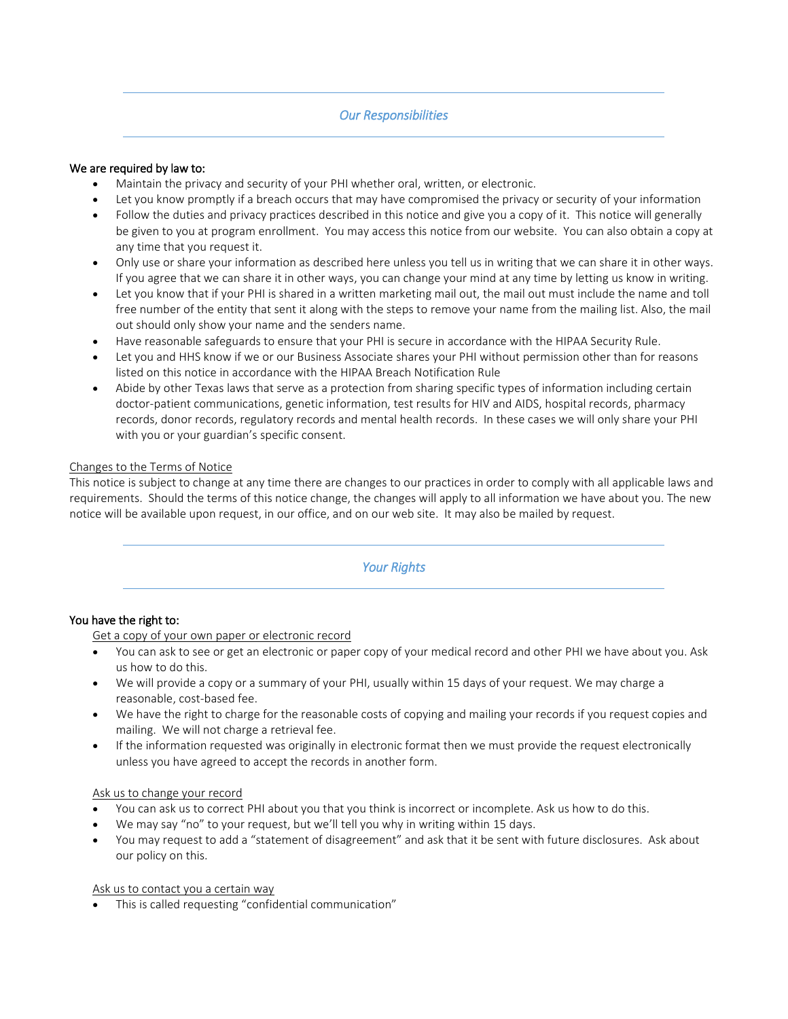## *Our Responsibilities*

#### We are required by law to:

- Maintain the privacy and security of your PHI whether oral, written, or electronic.
- Let you know promptly if a breach occurs that may have compromised the privacy or security of your information
- Follow the duties and privacy practices described in this notice and give you a copy of it. This notice will generally be given to you at program enrollment. You may access this notice from our website. You can also obtain a copy at any time that you request it.
- Only use or share your information as described here unless you tell us in writing that we can share it in other ways. If you agree that we can share it in other ways, you can change your mind at any time by letting us know in writing.
- Let you know that if your PHI is shared in a written marketing mail out, the mail out must include the name and toll free number of the entity that sent it along with the steps to remove your name from the mailing list. Also, the mail out should only show your name and the senders name.
- Have reasonable safeguards to ensure that your PHI is secure in accordance with the HIPAA Security Rule.
- Let you and HHS know if we or our Business Associate shares your PHI without permission other than for reasons listed on this notice in accordance with the HIPAA Breach Notification Rule
- Abide by other Texas laws that serve as a protection from sharing specific types of information including certain doctor-patient communications, genetic information, test results for HIV and AIDS, hospital records, pharmacy records, donor records, regulatory records and mental health records. In these cases we will only share your PHI with you or your guardian's specific consent.

#### Changes to the Terms of Notice

This notice is subject to change at any time there are changes to our practices in order to comply with all applicable laws and requirements. Should the terms of this notice change, the changes will apply to all information we have about you. The new notice will be available upon request, in our office, and on our web site. It may also be mailed by request.

## *Your Rights*

#### You have the right to:

Get a copy of your own paper or electronic record

- You can ask to see or get an electronic or paper copy of your medical record and other PHI we have about you. Ask us how to do this.
- We will provide a copy or a summary of your PHI, usually within 15 days of your request. We may charge a reasonable, cost-based fee.
- We have the right to charge for the reasonable costs of copying and mailing your records if you request copies and mailing. We will not charge a retrieval fee.
- If the information requested was originally in electronic format then we must provide the request electronically unless you have agreed to accept the records in another form.

#### Ask us to change your record

- You can ask us to correct PHI about you that you think is incorrect or incomplete. Ask us how to do this.
- We may say "no" to your request, but we'll tell you why in writing within 15 days.
- You may request to add a "statement of disagreement" and ask that it be sent with future disclosures. Ask about our policy on this.

#### Ask us to contact you a certain way

This is called requesting "confidential communication"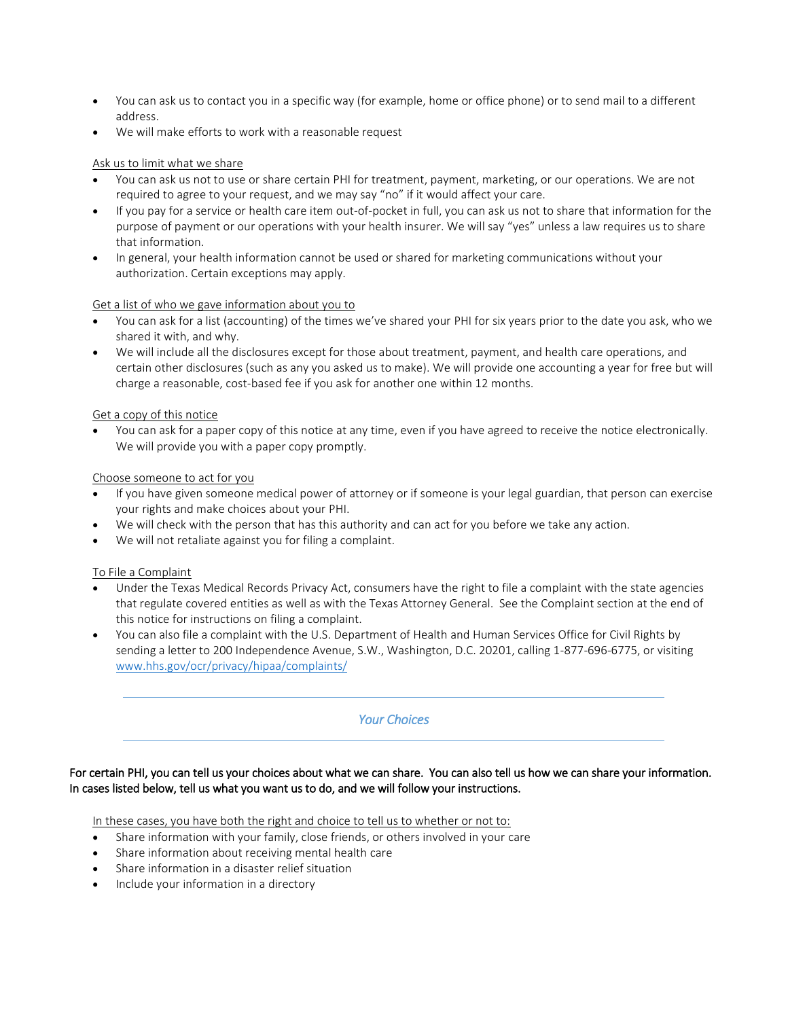- You can ask us to contact you in a specific way (for example, home or office phone) or to send mail to a different address.
- We will make efforts to work with a reasonable request

## Ask us to limit what we share

- You can ask us not to use or share certain PHI for treatment, payment, marketing, or our operations. We are not required to agree to your request, and we may say "no" if it would affect your care.
- If you pay for a service or health care item out-of-pocket in full, you can ask us not to share that information for the purpose of payment or our operations with your health insurer. We will say "yes" unless a law requires us to share that information.
- In general, your health information cannot be used or shared for marketing communications without your authorization. Certain exceptions may apply.

### Get a list of who we gave information about you to

- You can ask for a list (accounting) of the times we've shared your PHI for six years prior to the date you ask, who we shared it with, and why.
- We will include all the disclosures except for those about treatment, payment, and health care operations, and certain other disclosures (such as any you asked us to make). We will provide one accounting a year for free but will charge a reasonable, cost-based fee if you ask for another one within 12 months.

### Get a copy of this notice

 You can ask for a paper copy of this notice at any time, even if you have agreed to receive the notice electronically. We will provide you with a paper copy promptly.

### Choose someone to act for you

- If you have given someone medical power of attorney or if someone is your legal guardian, that person can exercise your rights and make choices about your PHI.
- We will check with the person that has this authority and can act for you before we take any action.
- We will not retaliate against you for filing a complaint.

### To File a Complaint

- Under the Texas Medical Records Privacy Act, consumers have the right to file a complaint with the state agencies that regulate covered entities as well as with the Texas Attorney General. See the Complaint section at the end of this notice for instructions on filing a complaint.
- You can also file a complaint with the U.S. Department of Health and Human Services Office for Civil Rights by sending a letter to 200 Independence Avenue, S.W., Washington, D.C. 20201, calling 1-877-696-6775, or visiting [www.hhs.gov/ocr/privacy/hipaa/complaints/](http://www.hhs.gov/ocr/privacy/hipaa/complaints/)

## *Your Choices*

### For certain PHI, you can tell us your choices about what we can share. You can also tell us how we can share your information. In cases listed below, tell us what you want us to do, and we will follow your instructions.

In these cases, you have both the right and choice to tell us to whether or not to:

- Share information with your family, close friends, or others involved in your care
- Share information about receiving mental health care
- Share information in a disaster relief situation
- Include your information in a directory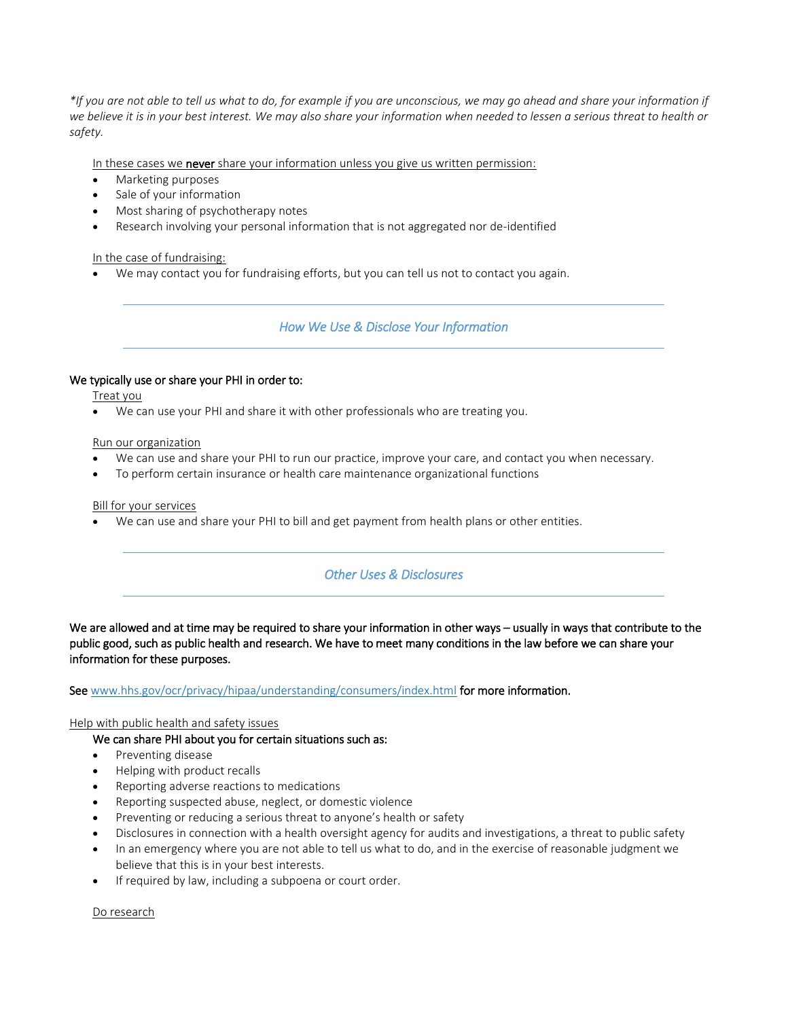*\*If you are not able to tell us what to do, for example if you are unconscious, we may go ahead and share your information if we believe it is in your best interest. We may also share your information when needed to lessen a serious threat to health or safety.*

In these cases we never share your information unless you give us written permission:

- Marketing purposes
- Sale of your information
- Most sharing of psychotherapy notes
- Research involving your personal information that is not aggregated nor de-identified

In the case of fundraising:

We may contact you for fundraising efforts, but you can tell us not to contact you again.

*How We Use & Disclose Your Information* 

#### We typically use or share your PHI in order to:

Treat you

We can use your PHI and share it with other professionals who are treating you.

Run our organization

- We can use and share your PHI to run our practice, improve your care, and contact you when necessary.
- To perform certain insurance or health care maintenance organizational functions

Bill for your services

We can use and share your PHI to bill and get payment from health plans or other entities.

## *Other Uses & Disclosures*

We are allowed and at time may be required to share your information in other ways – usually in ways that contribute to the public good, such as public health and research. We have to meet many conditions in the law before we can share your information for these purposes.

See [www.hhs.gov/ocr/privacy/hipaa/understanding/consumers/index.html](http://www.hhs.gov/ocr/privacy/hipaa/understanding/consumers/index.html) for more information.

Help with public health and safety issues

#### We can share PHI about you for certain situations such as:

- Preventing disease
- Helping with product recalls
- Reporting adverse reactions to medications
- Reporting suspected abuse, neglect, or domestic violence
- Preventing or reducing a serious threat to anyone's health or safety
- Disclosures in connection with a health oversight agency for audits and investigations, a threat to public safety
- In an emergency where you are not able to tell us what to do, and in the exercise of reasonable judgment we believe that this is in your best interests.
- If required by law, including a subpoena or court order.

Do research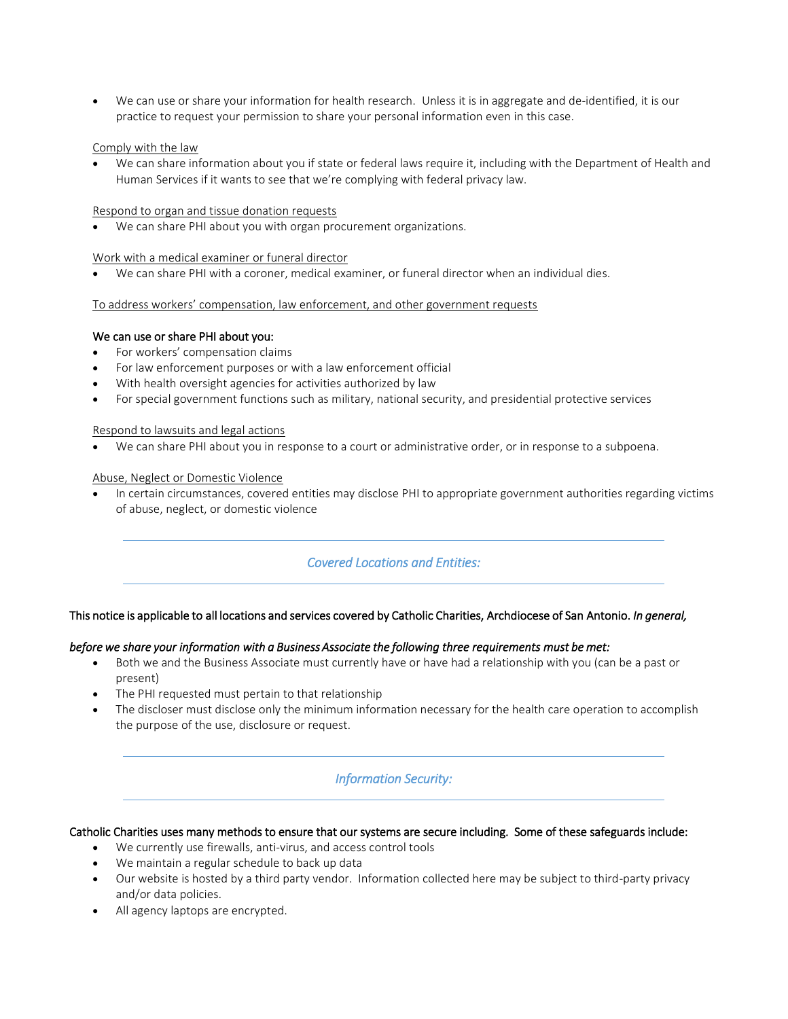We can use or share your information for health research. Unless it is in aggregate and de-identified, it is our practice to request your permission to share your personal information even in this case.

#### Comply with the law

 We can share information about you if state or federal laws require it, including with the Department of Health and Human Services if it wants to see that we're complying with federal privacy law.

#### Respond to organ and tissue donation requests

We can share PHI about you with organ procurement organizations.

Work with a medical examiner or funeral director

We can share PHI with a coroner, medical examiner, or funeral director when an individual dies.

#### To address workers' compensation, law enforcement, and other government requests

#### We can use or share PHI about you:

- For workers' compensation claims
- For law enforcement purposes or with a law enforcement official
- With health oversight agencies for activities authorized by law
- For special government functions such as military, national security, and presidential protective services

#### Respond to lawsuits and legal actions

We can share PHI about you in response to a court or administrative order, or in response to a subpoena.

#### Abuse, Neglect or Domestic Violence

 In certain circumstances, covered entities may disclose PHI to appropriate government authorities regarding victims of abuse, neglect, or domestic violence

## *Covered Locations and Entities:*

### This notice is applicable to all locations and services covered by Catholic Charities, Archdiocese of San Antonio. *In general,*

#### *before we share your information with a Business Associate the following three requirements must be met:*

- Both we and the Business Associate must currently have or have had a relationship with you (can be a past or present)
- The PHI requested must pertain to that relationship
- The discloser must disclose only the minimum information necessary for the health care operation to accomplish the purpose of the use, disclosure or request.

## *Information Security:*

#### Catholic Charities uses many methods to ensure that our systems are secure including. Some of these safeguards include:

- We currently use firewalls, anti-virus, and access control tools
- We maintain a regular schedule to back up data
- Our website is hosted by a third party vendor. Information collected here may be subject to third-party privacy and/or data policies.
- All agency laptops are encrypted.